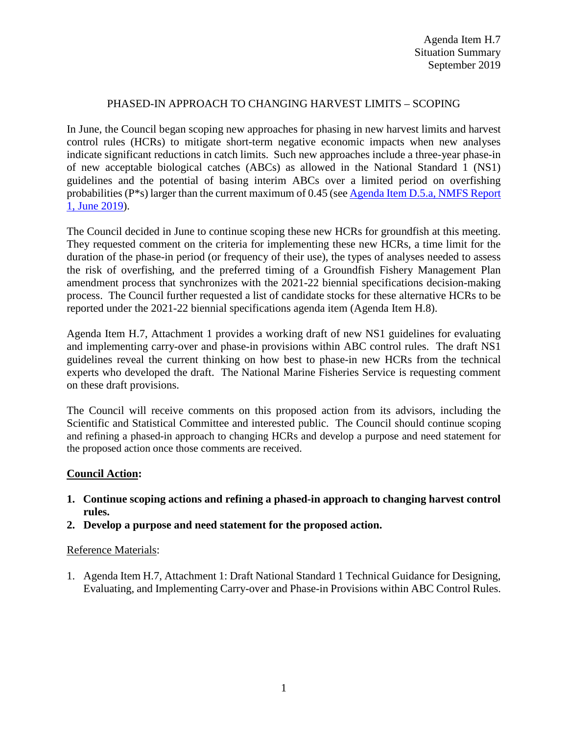## PHASED-IN APPROACH TO CHANGING HARVEST LIMITS – SCOPING

In June, the Council began scoping new approaches for phasing in new harvest limits and harvest control rules (HCRs) to mitigate short-term negative economic impacts when new analyses indicate significant reductions in catch limits. Such new approaches include a three-year phase-in of new acceptable biological catches (ABCs) as allowed in the National Standard 1 (NS1) guidelines and the potential of basing interim ABCs over a limited period on overfishing probabilities (P\*s) larger than the current maximum of 0.45 (see [Agenda Item D.5.a, NMFS Report](https://www.pcouncil.org/wp-content/uploads/2019/05/D5a_NMFS_RPT1_Phased-in-HCRs_JUNE2019BB.pdf)  [1, June 2019\)](https://www.pcouncil.org/wp-content/uploads/2019/05/D5a_NMFS_RPT1_Phased-in-HCRs_JUNE2019BB.pdf).

The Council decided in June to continue scoping these new HCRs for groundfish at this meeting. They requested comment on the criteria for implementing these new HCRs, a time limit for the duration of the phase-in period (or frequency of their use), the types of analyses needed to assess the risk of overfishing, and the preferred timing of a Groundfish Fishery Management Plan amendment process that synchronizes with the 2021-22 biennial specifications decision-making process. The Council further requested a list of candidate stocks for these alternative HCRs to be reported under the 2021-22 biennial specifications agenda item (Agenda Item H.8).

Agenda Item H.7, Attachment 1 provides a working draft of new NS1 guidelines for evaluating and implementing carry-over and phase-in provisions within ABC control rules. The draft NS1 guidelines reveal the current thinking on how best to phase-in new HCRs from the technical experts who developed the draft. The National Marine Fisheries Service is requesting comment on these draft provisions.

The Council will receive comments on this proposed action from its advisors, including the Scientific and Statistical Committee and interested public. The Council should continue scoping and refining a phased-in approach to changing HCRs and develop a purpose and need statement for the proposed action once those comments are received.

## **Council Action:**

- **1. Continue scoping actions and refining a phased-in approach to changing harvest control rules.**
- **2. Develop a purpose and need statement for the proposed action.**

## Reference Materials:

1. Agenda Item H.7, Attachment 1: Draft National Standard 1 Technical Guidance for Designing, Evaluating, and Implementing Carry-over and Phase-in Provisions within ABC Control Rules.